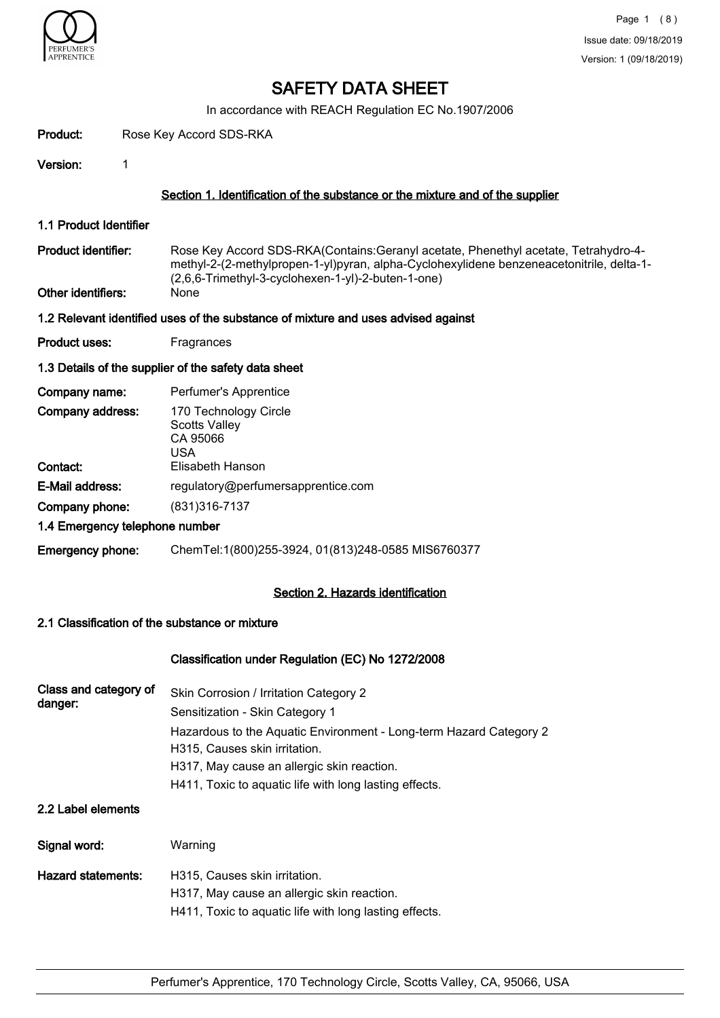

In accordance with REACH Regulation EC No.1907/2006

| Product:                                  | Rose Key Accord SDS-RKA |                                                                                                                                                                                                                                               |  |
|-------------------------------------------|-------------------------|-----------------------------------------------------------------------------------------------------------------------------------------------------------------------------------------------------------------------------------------------|--|
| Version:                                  | 1                       |                                                                                                                                                                                                                                               |  |
|                                           |                         | Section 1. Identification of the substance or the mixture and of the supplier                                                                                                                                                                 |  |
| 1.1 Product Identifier                    |                         |                                                                                                                                                                                                                                               |  |
| Product identifier:<br>Other identifiers: |                         | Rose Key Accord SDS-RKA(Contains: Geranyl acetate, Phenethyl acetate, Tetrahydro-4-<br>methyl-2-(2-methylpropen-1-yl)pyran, alpha-Cyclohexylidene benzeneacetonitrile, delta-1-<br>(2,6,6-Trimethyl-3-cyclohexen-1-yl)-2-buten-1-one)<br>None |  |
|                                           |                         | 1.2 Relevant identified uses of the substance of mixture and uses advised against                                                                                                                                                             |  |
| Product uses:                             |                         | Fragrances                                                                                                                                                                                                                                    |  |
|                                           |                         | 1.3 Details of the supplier of the safety data sheet                                                                                                                                                                                          |  |
| Company name:                             |                         | Perfumer's Apprentice                                                                                                                                                                                                                         |  |
| Company address:                          |                         | 170 Technology Circle<br><b>Scotts Valley</b><br>CA 95066<br><b>USA</b>                                                                                                                                                                       |  |
| Contact:                                  |                         | Elisabeth Hanson                                                                                                                                                                                                                              |  |
| E-Mail address:                           |                         | regulatory@perfumersapprentice.com                                                                                                                                                                                                            |  |
| Company phone:                            |                         | (831) 316-7137                                                                                                                                                                                                                                |  |
| 1.4 Emergency telephone number            |                         |                                                                                                                                                                                                                                               |  |
| <b>Emergency phone:</b>                   |                         | ChemTel:1(800)255-3924, 01(813)248-0585 MIS6760377                                                                                                                                                                                            |  |
|                                           |                         | Section 2. Hazards identification                                                                                                                                                                                                             |  |
|                                           |                         | 2.1 Classification of the substance or mixture                                                                                                                                                                                                |  |
|                                           |                         |                                                                                                                                                                                                                                               |  |

# Classification under Regulation (EC) No 1272/2008

| Class and category of | Skin Corrosion / Irritation Category 2                             |
|-----------------------|--------------------------------------------------------------------|
| danger:               | Sensitization - Skin Category 1                                    |
|                       | Hazardous to the Aquatic Environment - Long-term Hazard Category 2 |
|                       | H315, Causes skin irritation.                                      |
|                       | H317, May cause an allergic skin reaction.                         |
|                       | H411, Toxic to aguatic life with long lasting effects.             |
|                       |                                                                    |

# 2.2 Label elements

| Signal word:       | Warning                                                                     |
|--------------------|-----------------------------------------------------------------------------|
| Hazard statements: | H315, Causes skin irritation.<br>H317, May cause an allergic skin reaction. |
|                    | H411, Toxic to aquatic life with long lasting effects.                      |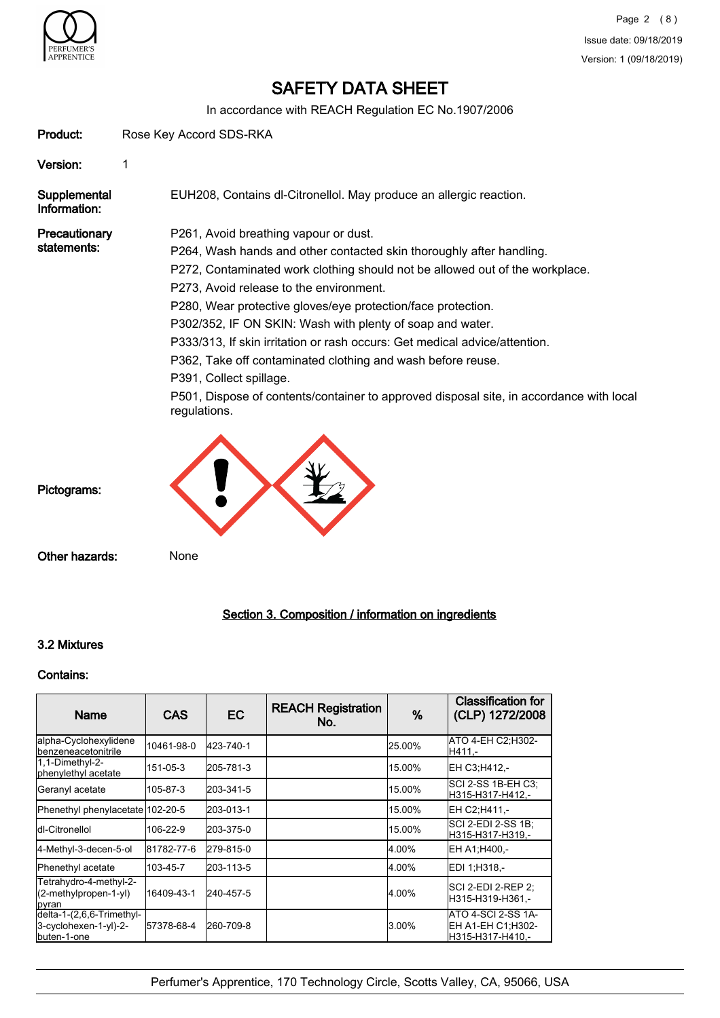

In accordance with REACH Regulation EC No.1907/2006

| Product:                     | Rose Key Accord SDS-RKA                                                                                                                                                                                                                                                                                                                                                                                                                                                                                                                                                                                                                                  |
|------------------------------|----------------------------------------------------------------------------------------------------------------------------------------------------------------------------------------------------------------------------------------------------------------------------------------------------------------------------------------------------------------------------------------------------------------------------------------------------------------------------------------------------------------------------------------------------------------------------------------------------------------------------------------------------------|
| Version:                     |                                                                                                                                                                                                                                                                                                                                                                                                                                                                                                                                                                                                                                                          |
| Supplemental<br>Information: | EUH208, Contains dl-Citronellol. May produce an allergic reaction.                                                                                                                                                                                                                                                                                                                                                                                                                                                                                                                                                                                       |
| Precautionary<br>statements: | P261, Avoid breathing vapour or dust.<br>P264, Wash hands and other contacted skin thoroughly after handling.<br>P272, Contaminated work clothing should not be allowed out of the workplace.<br>P273, Avoid release to the environment.<br>P280, Wear protective gloves/eye protection/face protection.<br>P302/352, IF ON SKIN: Wash with plenty of soap and water.<br>P333/313, If skin irritation or rash occurs: Get medical advice/attention.<br>P362, Take off contaminated clothing and wash before reuse.<br>P391, Collect spillage.<br>P501, Dispose of contents/container to approved disposal site, in accordance with local<br>regulations. |
| Pictograms:                  |                                                                                                                                                                                                                                                                                                                                                                                                                                                                                                                                                                                                                                                          |

Other hazards: None

# Section 3. Composition / information on ingredients

# 3.2 Mixtures

## Contains:

| Name                                                              | <b>CAS</b> | ЕC        | <b>REACH Registration</b><br>No. | %      | <b>Classification for</b><br>(CLP) 1272/2008                 |
|-------------------------------------------------------------------|------------|-----------|----------------------------------|--------|--------------------------------------------------------------|
| alpha-Cyclohexylidene<br><b>I</b> benzeneacetonitrile             | 10461-98-0 | 423-740-1 |                                  | 25.00% | ATO 4-EH C2:H302-<br>H411.-                                  |
| 1,1-Dimethyl-2-<br>phenylethyl acetate                            | 151-05-3   | 205-781-3 |                                  | 15.00% | EH C3;H412,-                                                 |
| Geranyl acetate                                                   | 105-87-3   | 203-341-5 |                                  | 15.00% | SCI 2-SS 1B-EH C3:<br>H315-H317-H412,-                       |
| Phenethyl phenylacetate 102-20-5                                  |            | 203-013-1 |                                  | 15.00% | EH C2:H411.-                                                 |
| Idl-Citronellol                                                   | 106-22-9   | 203-375-0 |                                  | 15.00% | SCI 2-EDI 2-SS 1B:<br>H315-H317-H319.-                       |
| 4-Methyl-3-decen-5-ol                                             | 81782-77-6 | 279-815-0 |                                  | 4.00%  | EH A1;H400,-                                                 |
| Phenethyl acetate                                                 | 103-45-7   | 203-113-5 |                                  | 4.00%  | EDI 1:H318,-                                                 |
| Tetrahydro-4-methyl-2-<br>(2-methylpropen-1-yl)<br>Ipyran         | 16409-43-1 | 240-457-5 |                                  | 4.00%  | <b>SCI 2-EDI 2-REP 2:</b><br>H315-H319-H361,-                |
| delta-1-(2,6,6-Trimethyl-<br>3-cyclohexen-1-yl)-2-<br>buten-1-one | 57378-68-4 | 260-709-8 |                                  | 3.00%  | ATO 4-SCI 2-SS 1A-<br>EH A1-EH C1: H302-<br>H315-H317-H410,- |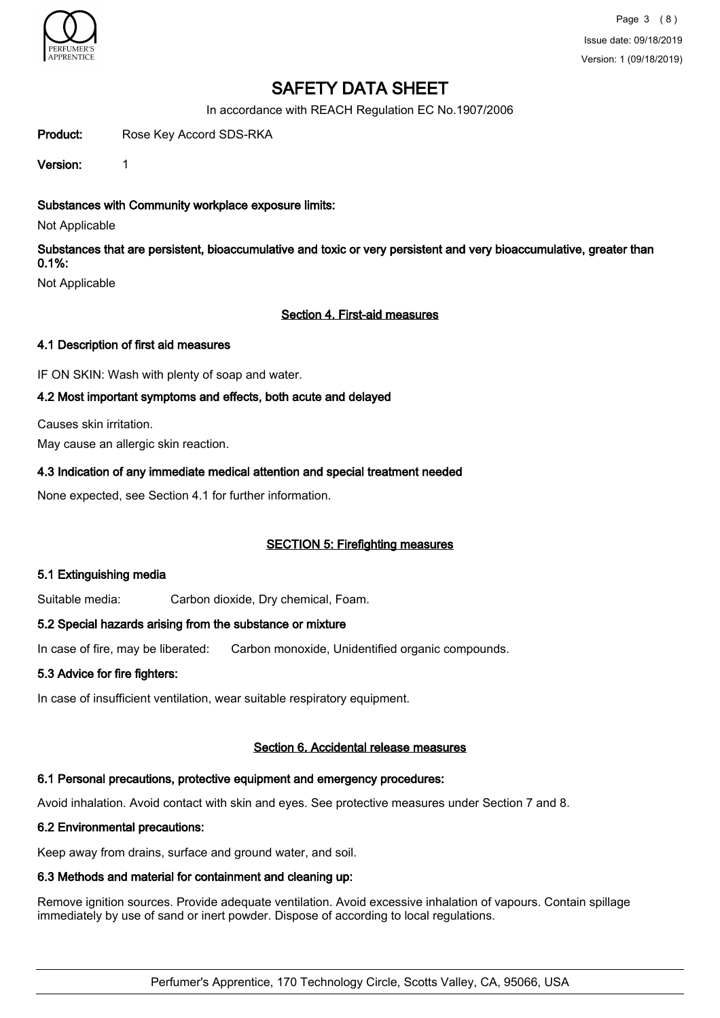

In accordance with REACH Regulation EC No.1907/2006

Product: Rose Key Accord SDS-RKA

Version: 1

Substances with Community workplace exposure limits:

Not Applicable

Substances that are persistent, bioaccumulative and toxic or very persistent and very bioaccumulative, greater than 0.1%:

Not Applicable

# Section 4. First-aid measures

# 4.1 Description of first aid measures

IF ON SKIN: Wash with plenty of soap and water.

# 4.2 Most important symptoms and effects, both acute and delayed

Causes skin irritation. May cause an allergic skin reaction.

# 4.3 Indication of any immediate medical attention and special treatment needed

None expected, see Section 4.1 for further information.

# SECTION 5: Firefighting measures

### 5.1 Extinguishing media

Suitable media: Carbon dioxide, Dry chemical, Foam.

# 5.2 Special hazards arising from the substance or mixture

In case of fire, may be liberated: Carbon monoxide, Unidentified organic compounds.

# 5.3 Advice for fire fighters:

In case of insufficient ventilation, wear suitable respiratory equipment.

### Section 6. Accidental release measures

# 6.1 Personal precautions, protective equipment and emergency procedures:

Avoid inhalation. Avoid contact with skin and eyes. See protective measures under Section 7 and 8.

# 6.2 Environmental precautions:

Keep away from drains, surface and ground water, and soil.

# 6.3 Methods and material for containment and cleaning up:

Remove ignition sources. Provide adequate ventilation. Avoid excessive inhalation of vapours. Contain spillage immediately by use of sand or inert powder. Dispose of according to local regulations.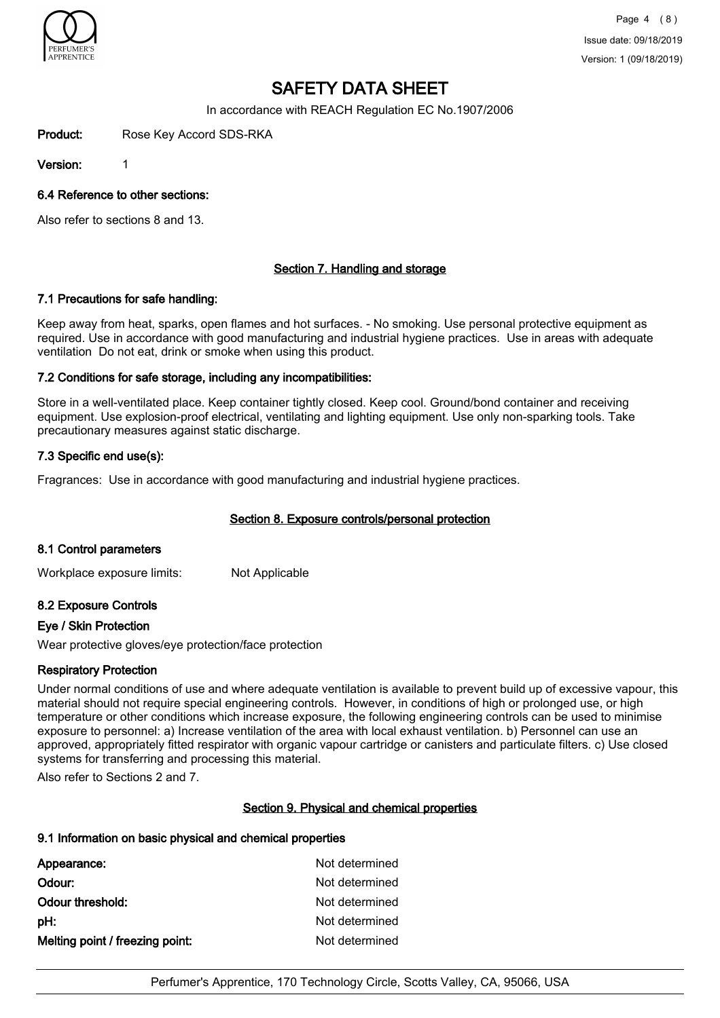

In accordance with REACH Regulation EC No.1907/2006

Product: Rose Key Accord SDS-RKA

Version: 1

## 6.4 Reference to other sections:

Also refer to sections 8 and 13.

# Section 7. Handling and storage

### 7.1 Precautions for safe handling:

Keep away from heat, sparks, open flames and hot surfaces. - No smoking. Use personal protective equipment as required. Use in accordance with good manufacturing and industrial hygiene practices. Use in areas with adequate ventilation Do not eat, drink or smoke when using this product.

# 7.2 Conditions for safe storage, including any incompatibilities:

Store in a well-ventilated place. Keep container tightly closed. Keep cool. Ground/bond container and receiving equipment. Use explosion-proof electrical, ventilating and lighting equipment. Use only non-sparking tools. Take precautionary measures against static discharge.

# 7.3 Specific end use(s):

Fragrances: Use in accordance with good manufacturing and industrial hygiene practices.

# Section 8. Exposure controls/personal protection

### 8.1 Control parameters

Workplace exposure limits: Not Applicable

# 8.2 Exposure Controls

### Eye / Skin Protection

Wear protective gloves/eye protection/face protection

### Respiratory Protection

Under normal conditions of use and where adequate ventilation is available to prevent build up of excessive vapour, this material should not require special engineering controls. However, in conditions of high or prolonged use, or high temperature or other conditions which increase exposure, the following engineering controls can be used to minimise exposure to personnel: a) Increase ventilation of the area with local exhaust ventilation. b) Personnel can use an approved, appropriately fitted respirator with organic vapour cartridge or canisters and particulate filters. c) Use closed systems for transferring and processing this material.

Also refer to Sections 2 and 7.

### Section 9. Physical and chemical properties

### 9.1 Information on basic physical and chemical properties

| Appearance:                     | Not determined |
|---------------------------------|----------------|
| Odour:                          | Not determined |
| Odour threshold:                | Not determined |
| pH:                             | Not determined |
| Melting point / freezing point: | Not determined |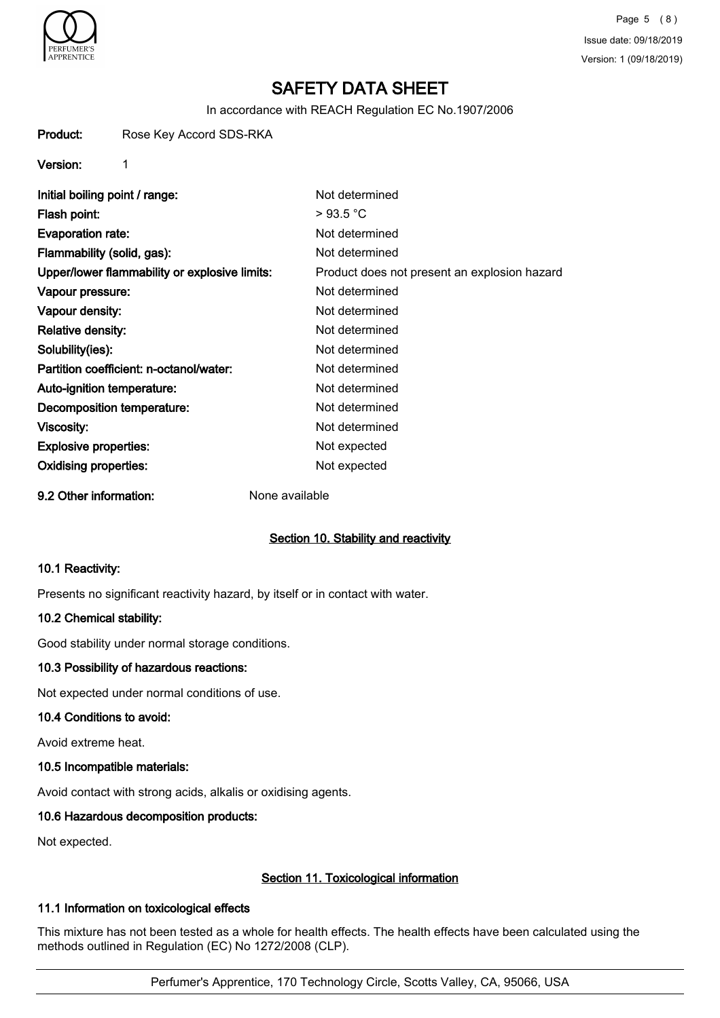

In accordance with REACH Regulation EC No.1907/2006

Product: Rose Key Accord SDS-RKA

Version: 1

Initial boiling point / range: Not determined Flash point:  $> 93.5 °C$ Evaporation rate: Not determined Flammability (solid, gas): Not determined Upper/lower flammability or explosive limits: Product does not present an explosion hazard Vapour pressure: Not determined Vapour density: Not determined Relative density: Not determined Solubility(ies): Not determined Partition coefficient: n-octanol/water: Not determined Auto-ignition temperature: Not determined Decomposition temperature: Not determined Viscosity: Not determined Explosive properties: Not expected Oxidising properties: Not expected

9.2 Other information: None available

# Section 10. Stability and reactivity

### 10.1 Reactivity:

Presents no significant reactivity hazard, by itself or in contact with water.

### 10.2 Chemical stability:

Good stability under normal storage conditions.

### 10.3 Possibility of hazardous reactions:

Not expected under normal conditions of use.

### 10.4 Conditions to avoid:

Avoid extreme heat.

### 10.5 Incompatible materials:

Avoid contact with strong acids, alkalis or oxidising agents.

### 10.6 Hazardous decomposition products:

Not expected.

# Section 11. Toxicological information

## 11.1 Information on toxicological effects

This mixture has not been tested as a whole for health effects. The health effects have been calculated using the methods outlined in Regulation (EC) No 1272/2008 (CLP).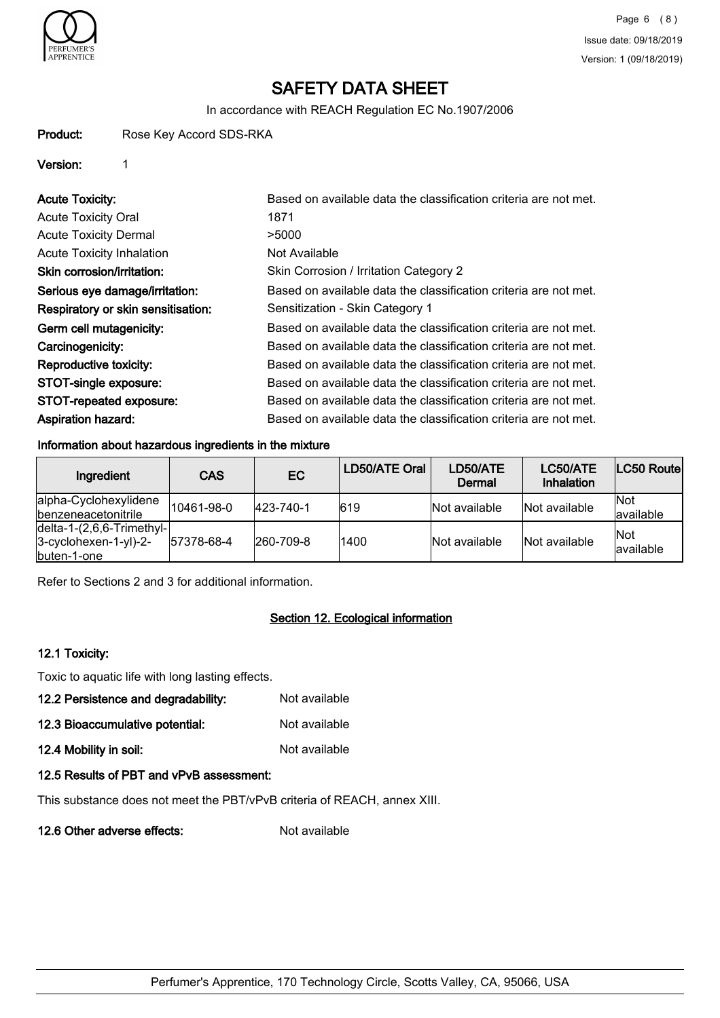

In accordance with REACH Regulation EC No.1907/2006

### Product: Rose Key Accord SDS-RKA

# Version: 1

| <b>Acute Toxicity:</b>             | Based on available data the classification criteria are not met. |
|------------------------------------|------------------------------------------------------------------|
| <b>Acute Toxicity Oral</b>         | 1871                                                             |
| <b>Acute Toxicity Dermal</b>       | >5000                                                            |
| <b>Acute Toxicity Inhalation</b>   | Not Available                                                    |
| Skin corrosion/irritation:         | Skin Corrosion / Irritation Category 2                           |
| Serious eye damage/irritation:     | Based on available data the classification criteria are not met. |
| Respiratory or skin sensitisation: | Sensitization - Skin Category 1                                  |
| Germ cell mutagenicity:            | Based on available data the classification criteria are not met. |
| Carcinogenicity:                   | Based on available data the classification criteria are not met. |
| Reproductive toxicity:             | Based on available data the classification criteria are not met. |
| STOT-single exposure:              | Based on available data the classification criteria are not met. |
| STOT-repeated exposure:            | Based on available data the classification criteria are not met. |
| <b>Aspiration hazard:</b>          | Based on available data the classification criteria are not met. |

# Information about hazardous ingredients in the mixture

| Ingredient                                                                             | <b>CAS</b> | EC.               | LD50/ATE Oral | LD50/ATE<br>Dermal | LC50/ATE<br>Inhalation | LC50 Route              |
|----------------------------------------------------------------------------------------|------------|-------------------|---------------|--------------------|------------------------|-------------------------|
| alpha-Cyclohexylidene<br><i><u><b>Ibenzeneacetonitrile</b></u></i>                     | 10461-98-0 | 423-740-1         | 619           | Not available      | Not available          | <b>Not</b><br>available |
| $\left $ delta-1-(2,6,6-Trimethyl- $\right $<br>$3-cyclohexen-1-yl)-2-$<br>buten-1-one | 57378-68-4 | $ 260 - 709 - 8 $ | 1400          | Not available      | Not available          | Not<br>lavailable       |

Refer to Sections 2 and 3 for additional information.

# Section 12. Ecological information

### 12.1 Toxicity:

Toxic to aquatic life with long lasting effects.

| 12.2 Persistence and degradability: | Not available |
|-------------------------------------|---------------|
|                                     |               |

12.3 Bioaccumulative potential: Not available

12.4 Mobility in soil: Not available

# 12.5 Results of PBT and vPvB assessment:

This substance does not meet the PBT/vPvB criteria of REACH, annex XIII.

12.6 Other adverse effects: Not available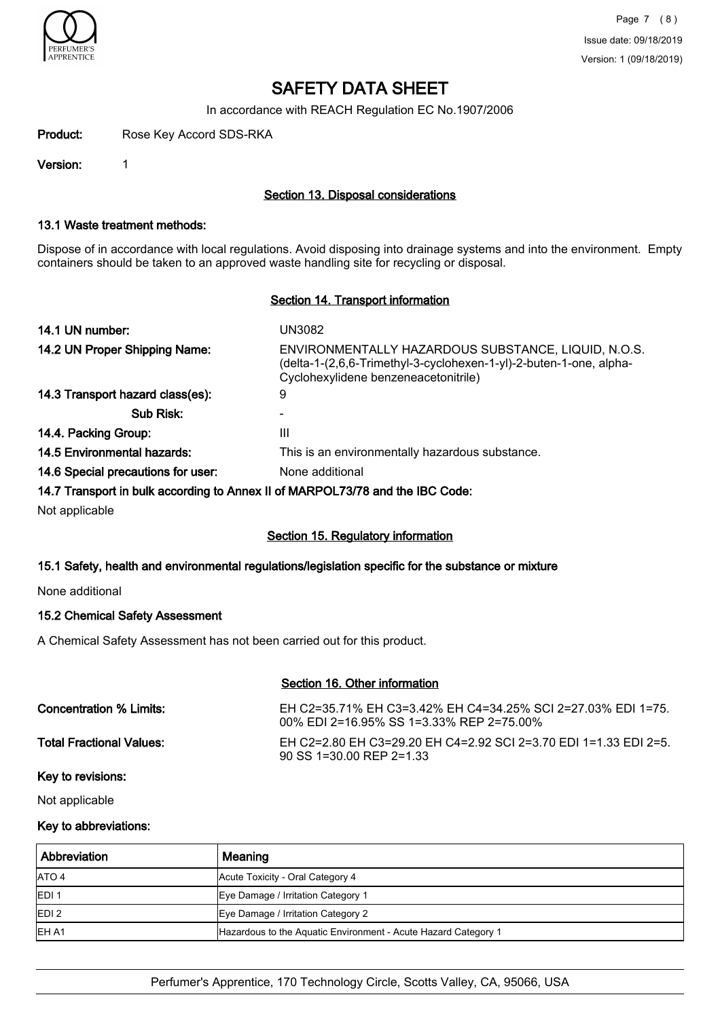

In accordance with REACH Regulation EC No.1907/2006

Product: Rose Key Accord SDS-RKA

Version: 1

# Section 13. Disposal considerations

#### 13.1 Waste treatment methods:

Dispose of in accordance with local regulations. Avoid disposing into drainage systems and into the environment. Empty containers should be taken to an approved waste handling site for recycling or disposal.

# Section 14. Transport information

| 14.1 UN number:                                                               | UN3082                                                                                                                                                            |
|-------------------------------------------------------------------------------|-------------------------------------------------------------------------------------------------------------------------------------------------------------------|
| 14.2 UN Proper Shipping Name:                                                 | ENVIRONMENTALLY HAZARDOUS SUBSTANCE, LIQUID, N.O.S.<br>(delta-1-(2,6,6-Trimethyl-3-cyclohexen-1-yl)-2-buten-1-one, alpha-<br>Cyclohexylidene benzeneacetonitrile) |
| 14.3 Transport hazard class(es):                                              | 9                                                                                                                                                                 |
| Sub Risk:                                                                     |                                                                                                                                                                   |
| 14.4. Packing Group:                                                          | Ш                                                                                                                                                                 |
| 14.5 Environmental hazards:                                                   | This is an environmentally hazardous substance.                                                                                                                   |
| 14.6 Special precautions for user:                                            | None additional                                                                                                                                                   |
| 14.7 Transport in bulk according to Annex II of MARPOL73/78 and the IBC Code: |                                                                                                                                                                   |

Not applicable

### Section 15. Regulatory information

# 15.1 Safety, health and environmental regulations/legislation specific for the substance or mixture

None additional

# 15.2 Chemical Safety Assessment

A Chemical Safety Assessment has not been carried out for this product.

|                                 | Section 16. Other information                                                                            |
|---------------------------------|----------------------------------------------------------------------------------------------------------|
| Concentration % Limits:         | EH C2=35.71% EH C3=3.42% EH C4=34.25% SCI 2=27.03% EDI 1=75.<br>00% EDI 2=16.95% SS 1=3.33% REP 2=75.00% |
| <b>Total Fractional Values:</b> | EH C2=2.80 EH C3=29.20 EH C4=2.92 SCI 2=3.70 EDI 1=1.33 EDI 2=5.<br>$90$ SS 1=30.00 REP 2=1.33           |
| Key to revisions:               |                                                                                                          |

Not applicable

# Key to abbreviations:

| Abbreviation      | Meaning                                                        |
|-------------------|----------------------------------------------------------------|
| <b>JATO 4</b>     | Acute Toxicity - Oral Category 4                               |
| <b>IEDI1</b>      | Eye Damage / Irritation Category 1                             |
| IEDI <sub>2</sub> | Eye Damage / Irritation Category 2                             |
| IEH A1            | Hazardous to the Aquatic Environment - Acute Hazard Category 1 |